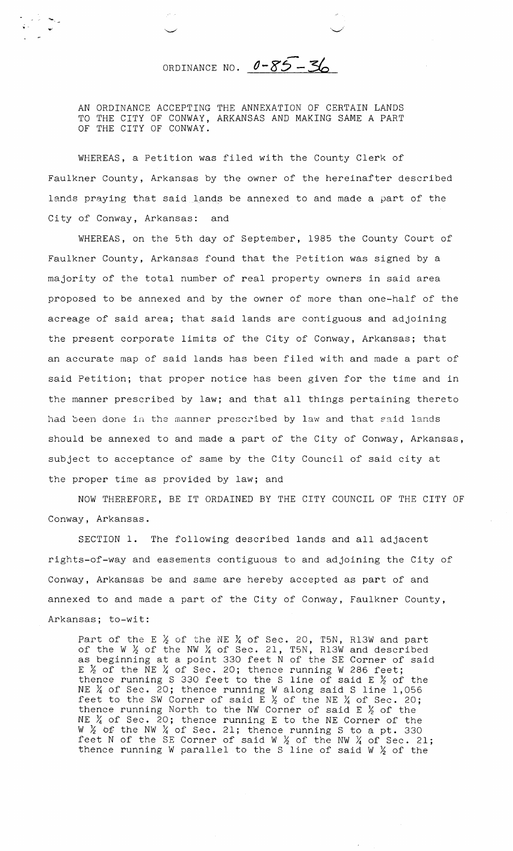ORDINANCE NO. 0-85-36

AN ORDINANCE ACCEPTING THE ANNEXATION OF CERTAIN LANDS TO THE CITY OF CONWAY, ARKANSAS AND MAKING SAME A PART OF THE CITY OF CONWAY.

WHEREAS, a Petition was filed with the County Clerk of Faulkner County, Arkansas by the owner of the hereinafter described lands praying that said lands be annexed to and made a part of the City of Conway, Arkansas: and

WHEREAS, on the 5th day of September, 1985 the County Court of Faulkner County, Arkansas found that the Petition was signed by a majority of the total number of real property owners in said area proposed to be annexed and by the owner of more than one-half of the acreage of said area; that said lands are contiguous and adjoining the present corporate limits of the City of Conway, Arkansas; that an accurate map of said lands has been filed with and made a part of said Petition; that proper notice has been given for the time and in the manner prescribed by law; and that all things pertaining thereto had been done in the manner prescribed by law and that said lands should be annexed to and made a part of the City of Conway, Arkansas, subject to acceptance of same by the City Council of said city at the proper time as provided by law; and

NOW THEREFORE, BE IT ORDAINED BY THE CITY COUNCIL OF THE CITY OF Conway, Arkansas.

SECTION 1. The following described lands and all adjacent rights-of-way and easements contiguous to and adjoining the City of Conway, Arkansas be and same are hereby accepted as part of and annexed to and made a part of the City of Conway, Faulkner County, Arkansas; to-wit:

Part of the E  $\chi$  of the NE  $\chi$  of Sec. 20, T5N, R13W and part of the W *2* of the NW % of Sec. 21, T5N, R13W and described as beginning at a point 330 feet N of the SE Corner of said  $E$   $\frac{1}{2}$  of the NE  $\frac{1}{4}$  of Sec. 20; thence running W 286 feet; thence running S 330 feet to the S line of said E  $\not\!_2$  of the NE  $\frac{1}{4}$  of Sec. 20; thence running W along said S line 1,056 feet to the SW Corner of said  $E \nlessgtr$  of the NE  $\chi$  of Sec. 20; thence running North to the NW Corner of said E  $\frac{\prime}{2}$  of the NE  $\frac{1}{4}$  of Sec. 20; thence running E to the NE Corner of the W  $\frac{1}{2}$  of the NW  $\frac{1}{4}$  of Sec. 21; thence running S to a pt. 330 feet N of the SE Corner of said W  $\frac{1}{2}$  of the NW  $\frac{1}{4}$  of Sec. 21; thence running W parallel to the S line of said W *2* of the